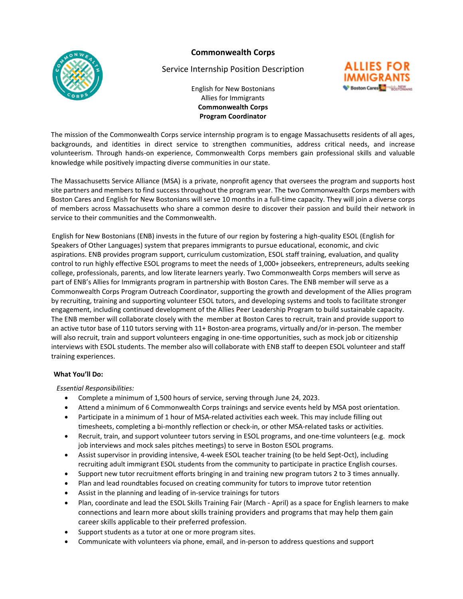**Commonwealth Corps** 



# Service Internship Position Description



English for New Bostonians Allies for Immigrants **Commonwealth Corps Program Coordinator** 

The mission of the Commonwealth Corps service internship program is to engage Massachusetts residents of all ages, backgrounds, and identities in direct service to strengthen communities, address critical needs, and increase volunteerism. Through hands-on experience, Commonwealth Corps members gain professional skills and valuable knowledge while positively impacting diverse communities in our state.

The Massachusetts Service Alliance (MSA) is a private, nonprofit agency that oversees the program and supports host site partners and members to find success throughout the program year. The two Commonwealth Corps members with Boston Cares and English for New Bostonians will serve 10 months in a full-time capacity. They will join a diverse corps of members across Massachusetts who share a common desire to discover their passion and build their network in service to their communities and the Commonwealth.

English for New Bostonians (ENB) invests in the future of our region by fostering a high-quality ESOL (English for Speakers of Other Languages) system that prepares immigrants to pursue educational, economic, and civic aspirations. ENB provides program support, curriculum customization, ESOL staff training, evaluation, and quality control to run highly effective ESOL programs to meet the needs of 1,000+ jobseekers, entrepreneurs, adults seeking college, professionals, parents, and low literate learners yearly. Two Commonwealth Corps members will serve as part of ENB's Allies for Immigrants program in partnership with Boston Cares. The ENB member will serve as a Commonwealth Corps Program Outreach Coordinator, supporting the growth and development of the Allies program by recruiting, training and supporting volunteer ESOL tutors, and developing systems and tools to facilitate stronger engagement, including continued development of the Allies Peer Leadership Program to build sustainable capacity. The ENB member will collaborate closely with the member at Boston Cares to recruit, train and provide support to an active tutor base of 110 tutors serving with 11+ Boston-area programs, virtually and/or in-person. The member will also recruit, train and support volunteers engaging in one-time opportunities, such as mock job or citizenship interviews with ESOL students. The member also will collaborate with ENB staff to deepen ESOL volunteer and staff training experiences.

#### **What You'll Do:**

*Essential Responsibilities:*

- Complete a minimum of 1,500 hours of service, serving through June 24, 2023.
- Attend a minimum of 6 Commonwealth Corps trainings and service events held by MSA post orientation.
- Participate in a minimum of 1 hour of MSA-related activities each week. This may include filling out timesheets, completing a bi-monthly reflection or check-in, or other MSA-related tasks or activities.
- Recruit, train, and support volunteer tutors serving in ESOL programs, and one-time volunteers (e.g. mock job interviews and mock sales pitches meetings) to serve in Boston ESOL programs.
- Assist supervisor in providing intensive, 4-week ESOL teacher training (to be held Sept-Oct), including recruiting adult immigrant ESOL students from the community to participate in practice English courses.
- Support new tutor recruitment efforts bringing in and training new program tutors 2 to 3 times annually.
- Plan and lead roundtables focused on creating community for tutors to improve tutor retention
- Assist in the planning and leading of in-service trainings for tutors
- Plan, coordinate and lead the ESOL Skills Training Fair (March April) as a space for English learners to make connections and learn more about skills training providers and programs that may help them gain career skills applicable to their preferred profession.
- Support students as a tutor at one or more program sites.
- Communicate with volunteers via phone, email, and in-person to address questions and support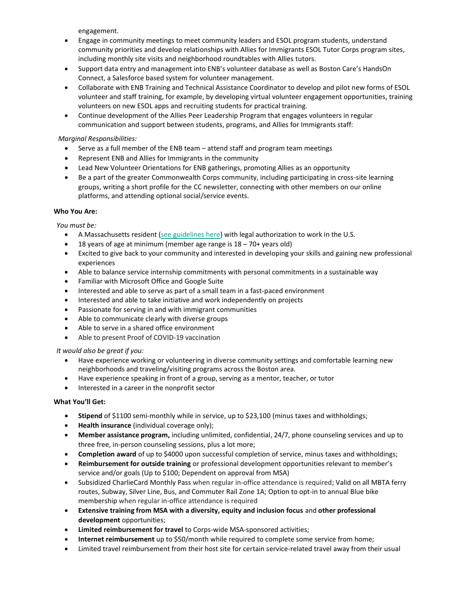engagement.

- Engage in community meetings to meet community leaders and ESOL program students, understand community priorities and develop relationships with Allies for Immigrants ESOL Tutor Corps program sites, including monthly site visits and neighborhood roundtables with Allies tutors.
- Support data entry and management into ENB's volunteer database as well as Boston Care's HandsOn Connect, a Salesforce based system for volunteer management.
- Collaborate with ENB Training and Technical Assistance Coordinator to develop and pilot new forms of ESOL volunteer and staff training, for example, by developing virtual volunteer engagement opportunities, training volunteers on new ESOL apps and recruiting students for practical training.
- Continue development of the Allies Peer Leadership Program that engages volunteers in regular communication and support between students, programs, and Allies for Immigrants staff:

## *Marginal Responsibilities:*

- Serve as a full member of the ENB team attend staff and program team meetings
- Represent ENB and Allies for Immigrants in the community
- Lead New Volunteer Orientations for ENB gatherings, promoting Allies as an opportunity
- Be a part of the greater Commonwealth Corps community, including participating in cross-site learning groups, writing a short profile for the CC newsletter, connecting with other members on our online platforms, and attending optional social/service events.

## **Who You Are:**

*You must be:*

- A Massachusetts resident [\(see guidelines here\)](http://mass-service.org/sites/default/files/Massachusetts%20Residency%20Requirements_0_0.pdf) with legal authorization to work in the U.S.
- 18 years of age at minimum (member age range is  $18 70 +$  years old)
- Excited to give back to your community and interested in developing your skills and gaining new professional experiences
- Able to balance service internship commitments with personal commitments in a sustainable way
- Familiar with Microsoft Office and Google Suite
- Interested and able to serve as part of a small team in a fast-paced environment
- Interested and able to take initiative and work independently on projects
- Passionate for serving in and with immigrant communities
- Able to communicate clearly with diverse groups
- Able to serve in a shared office environment
- Able to present Proof of COVID-19 vaccination

#### *It would also be great if you:*

- Have experience working or volunteering in diverse community settings and comfortable learning new neighborhoods and traveling/visiting programs across the Boston area.
- Have experience speaking in front of a group, serving as a mentor, teacher, or tutor
- Interested in a career in the nonprofit sector

#### **What You'll Get:**

- **Stipend** of \$1100 semi-monthly while in service, up to \$23,100 (minus taxes and withholdings;
- **Health insurance** (individual coverage only);
- **Member assistance program,** including unlimited, confidential, 24/7, phone counseling services and up to three free, in-person counseling sessions, plus a lot more;
- **Completion award** of up to \$4000 upon successful completion of service, minus taxes and withholdings;
- **Reimbursement for outside training** or professional development opportunities relevant to member's service and/or goals (Up to \$100; Dependent on approval from MSA)
- Subsidized CharlieCard Monthly Pass when regular in-office attendance is required; Valid on all MBTA ferry routes, Subway, Silver Line, Bus, and Commuter Rail Zone 1A; Option to opt-in to annual Blue bike membership when regular in-office attendance is required
- **Extensive training from MSA with a diversity, equity and inclusion focus** and **other professional development** opportunities;
- **Limited reimbursement for travel** to Corps-wide MSA-sponsored activities;
- **Internet reimbursement** up to \$50/month while required to complete some service from home;
- Limited travel reimbursement from their host site for certain service-related travel away from their usual